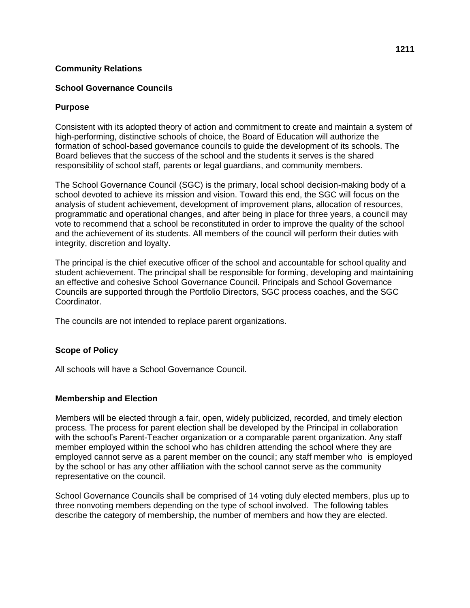### **Community Relations**

### **School Governance Councils**

#### **Purpose**

Consistent with its adopted theory of action and commitment to create and maintain a system of high-performing, distinctive schools of choice, the Board of Education will authorize the formation of school-based governance councils to guide the development of its schools. The Board believes that the success of the school and the students it serves is the shared responsibility of school staff, parents or legal guardians, and community members.

The School Governance Council (SGC) is the primary, local school decision-making body of a school devoted to achieve its mission and vision. Toward this end, the SGC will focus on the analysis of student achievement, development of improvement plans, allocation of resources, programmatic and operational changes, and after being in place for three years, a council may vote to recommend that a school be reconstituted in order to improve the quality of the school and the achievement of its students. All members of the council will perform their duties with integrity, discretion and loyalty.

The principal is the chief executive officer of the school and accountable for school quality and student achievement. The principal shall be responsible for forming, developing and maintaining an effective and cohesive School Governance Council. Principals and School Governance Councils are supported through the Portfolio Directors, SGC process coaches, and the SGC Coordinator.

The councils are not intended to replace parent organizations.

### **Scope of Policy**

All schools will have a School Governance Council.

#### **Membership and Election**

Members will be elected through a fair, open, widely publicized, recorded, and timely election process. The process for parent election shall be developed by the Principal in collaboration with the school's Parent-Teacher organization or a comparable parent organization. Any staff member employed within the school who has children attending the school where they are employed cannot serve as a parent member on the council; any staff member who is employed by the school or has any other affiliation with the school cannot serve as the community representative on the council.

School Governance Councils shall be comprised of 14 voting duly elected members, plus up to three nonvoting members depending on the type of school involved. The following tables describe the category of membership, the number of members and how they are elected.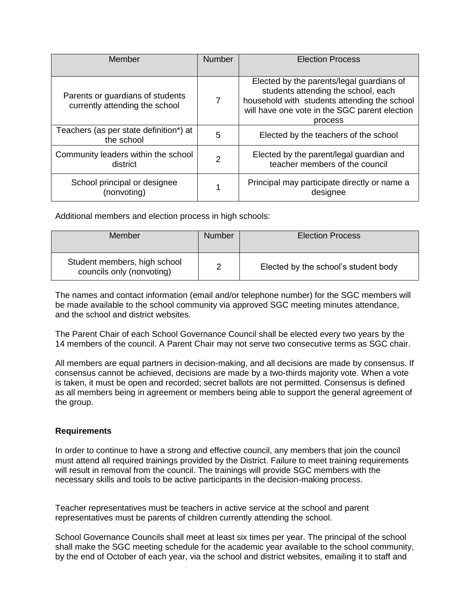| Member                                                             | <b>Number</b> | <b>Election Process</b>                                                                                                                                                                      |  |
|--------------------------------------------------------------------|---------------|----------------------------------------------------------------------------------------------------------------------------------------------------------------------------------------------|--|
| Parents or guardians of students<br>currently attending the school | 7             | Elected by the parents/legal guardians of<br>students attending the school, each<br>household with students attending the school<br>will have one vote in the SGC parent election<br>process |  |
| Teachers (as per state definition*) at<br>the school               | 5             | Elected by the teachers of the school<br>Elected by the parent/legal guardian and<br>teacher members of the council                                                                          |  |
| Community leaders within the school<br>district                    | $\mathcal{P}$ |                                                                                                                                                                                              |  |
| School principal or designee<br>(nonvoting)                        |               | Principal may participate directly or name a<br>designee                                                                                                                                     |  |

Additional members and election process in high schools:

| Member                                                    | <b>Number</b> | <b>Election Process</b>              |  |
|-----------------------------------------------------------|---------------|--------------------------------------|--|
| Student members, high school<br>councils only (nonvoting) |               | Elected by the school's student body |  |

The names and contact information (email and/or telephone number) for the SGC members will be made available to the school community via approved SGC meeting minutes attendance, and the school and district websites.

The Parent Chair of each School Governance Council shall be elected every two years by the 14 members of the council. A Parent Chair may not serve two consecutive terms as SGC chair.

All members are equal partners in decision-making, and all decisions are made by consensus. If consensus cannot be achieved, decisions are made by a two-thirds majority vote. When a vote is taken, it must be open and recorded; secret ballots are not permitted. Consensus is defined as all members being in agreement or members being able to support the general agreement of the group.

### **Requirements**

In order to continue to have a strong and effective council, any members that join the council must attend all required trainings provided by the District. Failure to meet training requirements will result in removal from the council. The trainings will provide SGC members with the necessary skills and tools to be active participants in the decision-making process.

Teacher representatives must be teachers in active service at the school and parent representatives must be parents of children currently attending the school.

School Governance Councils shall meet at least six times per year. The principal of the school shall make the SGC meeting schedule for the academic year available to the school community, by the end of October of each year, via the school and district websites, emailing it to staff and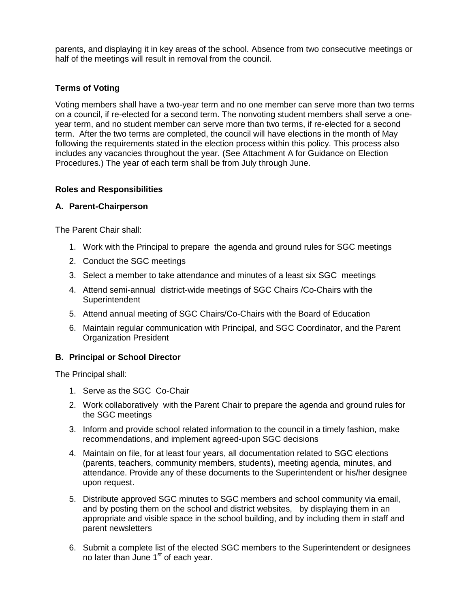parents, and displaying it in key areas of the school. Absence from two consecutive meetings or half of the meetings will result in removal from the council.

# **Terms of Voting**

Voting members shall have a two-year term and no one member can serve more than two terms on a council, if re-elected for a second term. The nonvoting student members shall serve a oneyear term, and no student member can serve more than two terms, if re-elected for a second term. After the two terms are completed, the council will have elections in the month of May following the requirements stated in the election process within this policy. This process also includes any vacancies throughout the year. (See Attachment A for Guidance on Election Procedures.) The year of each term shall be from July through June.

### **Roles and Responsibilities**

#### **A. Parent-Chairperson**

The Parent Chair shall:

- 1. Work with the Principal to prepare the agenda and ground rules for SGC meetings
- 2. Conduct the SGC meetings
- 3. Select a member to take attendance and minutes of a least six SGC meetings
- 4. Attend semi-annual district-wide meetings of SGC Chairs /Co-Chairs with the **Superintendent**
- 5. Attend annual meeting of SGC Chairs/Co-Chairs with the Board of Education
- 6. Maintain regular communication with Principal, and SGC Coordinator, and the Parent Organization President

### **B. Principal or School Director**

The Principal shall:

- 1. Serve as the SGC Co-Chair
- 2. Work collaboratively with the Parent Chair to prepare the agenda and ground rules for the SGC meetings
- 3. Inform and provide school related information to the council in a timely fashion, make recommendations, and implement agreed-upon SGC decisions
- 4. Maintain on file, for at least four years, all documentation related to SGC elections (parents, teachers, community members, students), meeting agenda, minutes, and attendance. Provide any of these documents to the Superintendent or his/her designee upon request.
- 5. Distribute approved SGC minutes to SGC members and school community via email, and by posting them on the school and district websites, by displaying them in an appropriate and visible space in the school building, and by including them in staff and parent newsletters
- 6. Submit a complete list of the elected SGC members to the Superintendent or designees no later than June 1<sup>st</sup> of each year.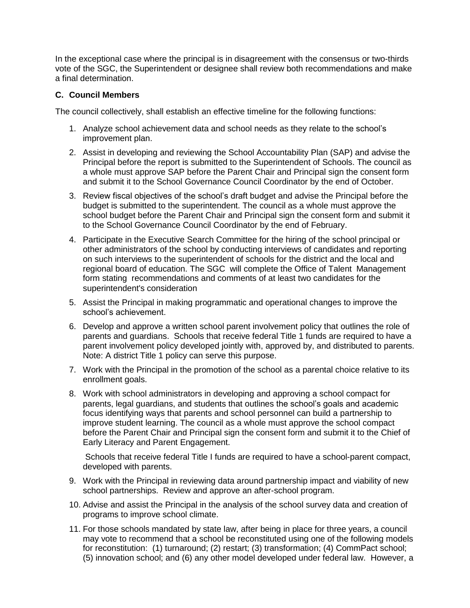In the exceptional case where the principal is in disagreement with the consensus or two-thirds vote of the SGC, the Superintendent or designee shall review both recommendations and make a final determination.

### **C. Council Members**

The council collectively, shall establish an effective timeline for the following functions:

- 1. Analyze school achievement data and school needs as they relate to the school's improvement plan.
- 2. Assist in developing and reviewing the School Accountability Plan (SAP) and advise the Principal before the report is submitted to the Superintendent of Schools. The council as a whole must approve SAP before the Parent Chair and Principal sign the consent form and submit it to the School Governance Council Coordinator by the end of October.
- 3. Review fiscal objectives of the school's draft budget and advise the Principal before the budget is submitted to the superintendent. The council as a whole must approve the school budget before the Parent Chair and Principal sign the consent form and submit it to the School Governance Council Coordinator by the end of February.
- 4. Participate in the Executive Search Committee for the hiring of the school principal or other administrators of the school by conducting interviews of candidates and reporting on such interviews to the superintendent of schools for the district and the local and regional board of education. The SGC will complete the Office of Talent Management form stating recommendations and comments of at least two candidates for the superintendent's consideration
- 5. Assist the Principal in making programmatic and operational changes to improve the school's achievement.
- 6. Develop and approve a written school parent involvement policy that outlines the role of parents and guardians. Schools that receive federal Title 1 funds are required to have a parent involvement policy developed jointly with, approved by, and distributed to parents. Note: A district Title 1 policy can serve this purpose.
- 7. Work with the Principal in the promotion of the school as a parental choice relative to its enrollment goals.
- 8. Work with school administrators in developing and approving a school compact for parents, legal guardians, and students that outlines the school's goals and academic focus identifying ways that parents and school personnel can build a partnership to improve student learning. The council as a whole must approve the school compact before the Parent Chair and Principal sign the consent form and submit it to the Chief of Early Literacy and Parent Engagement.

Schools that receive federal Title I funds are required to have a school-parent compact, developed with parents.

- 9. Work with the Principal in reviewing data around partnership impact and viability of new school partnerships. Review and approve an after-school program.
- 10. Advise and assist the Principal in the analysis of the school survey data and creation of programs to improve school climate.
- 11. For those schools mandated by state law, after being in place for three years, a council may vote to recommend that a school be reconstituted using one of the following models for reconstitution: (1) turnaround; (2) restart; (3) transformation; (4) CommPact school; (5) innovation school; and (6) any other model developed under federal law. However, a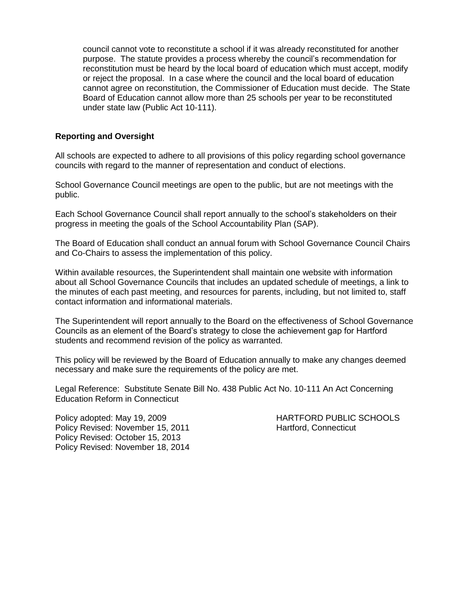council cannot vote to reconstitute a school if it was already reconstituted for another purpose. The statute provides a process whereby the council's recommendation for reconstitution must be heard by the local board of education which must accept, modify or reject the proposal. In a case where the council and the local board of education cannot agree on reconstitution, the Commissioner of Education must decide. The State Board of Education cannot allow more than 25 schools per year to be reconstituted under state law (Public Act 10-111).

#### **Reporting and Oversight**

All schools are expected to adhere to all provisions of this policy regarding school governance councils with regard to the manner of representation and conduct of elections.

School Governance Council meetings are open to the public, but are not meetings with the public.

Each School Governance Council shall report annually to the school's stakeholders on their progress in meeting the goals of the School Accountability Plan (SAP).

The Board of Education shall conduct an annual forum with School Governance Council Chairs and Co-Chairs to assess the implementation of this policy.

Within available resources, the Superintendent shall maintain one website with information about all School Governance Councils that includes an updated schedule of meetings, a link to the minutes of each past meeting, and resources for parents, including, but not limited to, staff contact information and informational materials.

The Superintendent will report annually to the Board on the effectiveness of School Governance Councils as an element of the Board's strategy to close the achievement gap for Hartford students and recommend revision of the policy as warranted.

This policy will be reviewed by the Board of Education annually to make any changes deemed necessary and make sure the requirements of the policy are met.

Legal Reference: Substitute Senate Bill No. 438 Public Act No. 10-111 An Act Concerning Education Reform in Connecticut

Policy adopted: May 19, 2009 **HARTFORD PUBLIC SCHOOLS** Policy Revised: November 15, 2011 Hartford, Connecticut Policy Revised: October 15, 2013 Policy Revised: November 18, 2014